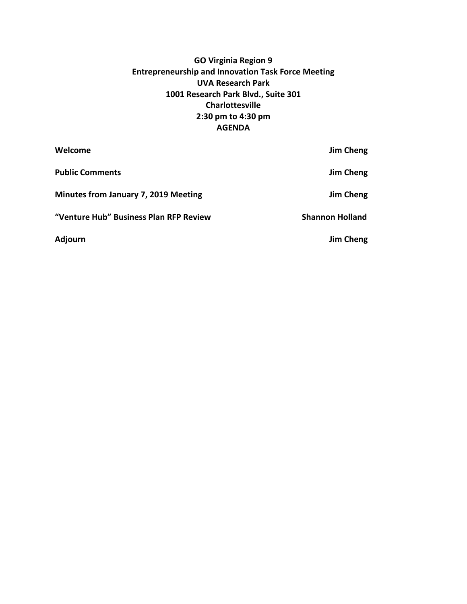# **GO Virginia Region 9 Entrepreneurship and Innovation Task Force Meeting UVA Research Park 1001 Research Park Blvd., Suite 301 Charlottesville 2:30 pm to 4:30 pm AGENDA**

| Welcome                                | Jim Cheng              |
|----------------------------------------|------------------------|
| <b>Public Comments</b>                 | Jim Cheng              |
| Minutes from January 7, 2019 Meeting   | Jim Cheng              |
| "Venture Hub" Business Plan RFP Review | <b>Shannon Holland</b> |
| Adjourn                                | Jim Cheng              |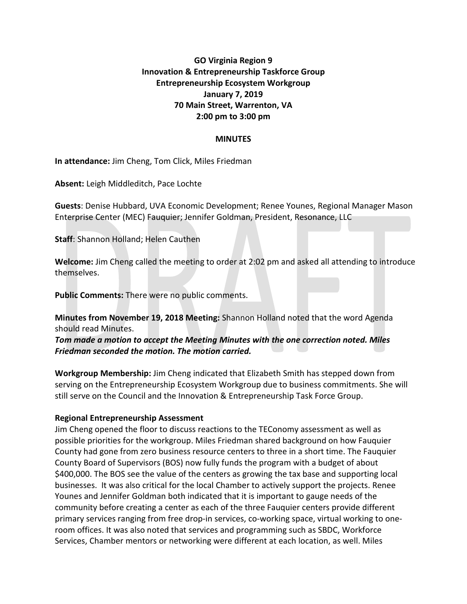## **GO Virginia Region 9 Innovation & Entrepreneurship Taskforce Group Entrepreneurship Ecosystem Workgroup January 7, 2019 70 Main Street, Warrenton, VA 2:00 pm to 3:00 pm**

### **MINUTES**

**In attendance:** Jim Cheng, Tom Click, Miles Friedman

**Absent:** Leigh Middleditch, Pace Lochte

**Guests**: Denise Hubbard, UVA Economic Development; Renee Younes, Regional Manager Mason Enterprise Center (MEC) Fauquier; Jennifer Goldman, President, Resonance, LLC

**Staff**: Shannon Holland; Helen Cauthen

**Welcome:** Jim Cheng called the meeting to order at 2:02 pm and asked all attending to introduce themselves.

**Public Comments:** There were no public comments.

**Minutes from November 19, 2018 Meeting:** Shannon Holland noted that the word Agenda should read Minutes.

*Tom made a motion to accept the Meeting Minutes with the one correction noted. Miles Friedman seconded the motion. The motion carried.* 

**Workgroup Membership:** Jim Cheng indicated that Elizabeth Smith has stepped down from serving on the Entrepreneurship Ecosystem Workgroup due to business commitments. She will still serve on the Council and the Innovation & Entrepreneurship Task Force Group.

#### **Regional Entrepreneurship Assessment**

Jim Cheng opened the floor to discuss reactions to the TEConomy assessment as well as possible priorities for the workgroup. Miles Friedman shared background on how Fauquier County had gone from zero business resource centers to three in a short time. The Fauquier County Board of Supervisors (BOS) now fully funds the program with a budget of about \$400,000. The BOS see the value of the centers as growing the tax base and supporting local businesses. It was also critical for the local Chamber to actively support the projects. Renee Younes and Jennifer Goldman both indicated that it is important to gauge needs of the community before creating a center as each of the three Fauquier centers provide different primary services ranging from free drop-in services, co-working space, virtual working to oneroom offices. It was also noted that services and programming such as SBDC, Workforce Services, Chamber mentors or networking were different at each location, as well. Miles